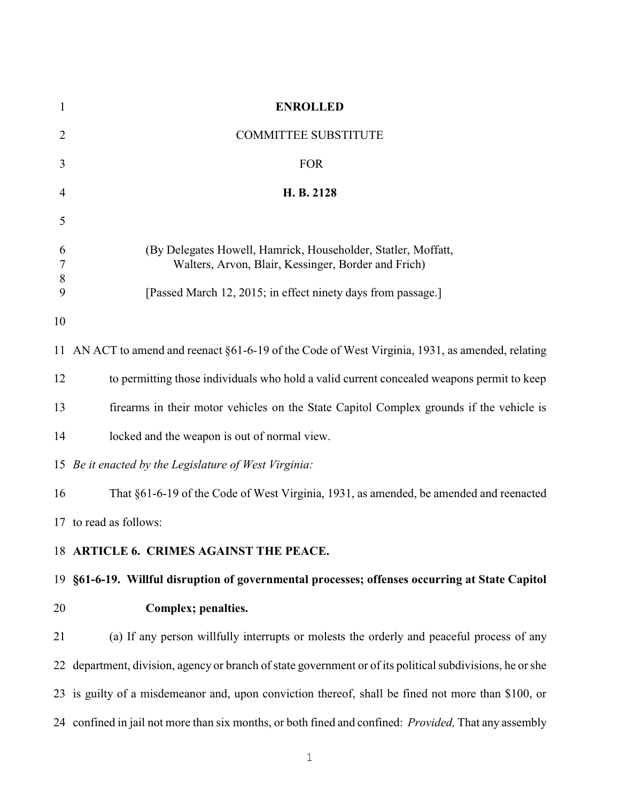| $\mathbf{1}$    | <b>ENROLLED</b>                                                                                                      |
|-----------------|----------------------------------------------------------------------------------------------------------------------|
| $\overline{2}$  | <b>COMMITTEE SUBSTITUTE</b>                                                                                          |
| 3               | <b>FOR</b>                                                                                                           |
| 4               | H. B. 2128                                                                                                           |
| 5               |                                                                                                                      |
| 6<br>7<br>$8\,$ | (By Delegates Howell, Hamrick, Householder, Statler, Moffatt,<br>Walters, Arvon, Blair, Kessinger, Border and Frich) |
| 9               | [Passed March 12, 2015; in effect ninety days from passage.]                                                         |
| 10              |                                                                                                                      |
|                 | 11 AN ACT to amend and reenact §61-6-19 of the Code of West Virginia, 1931, as amended, relating                     |
| 12              | to permitting those individuals who hold a valid current concealed weapons permit to keep                            |
| 13              | firearms in their motor vehicles on the State Capitol Complex grounds if the vehicle is                              |
| 14              | locked and the weapon is out of normal view.                                                                         |
|                 | 15 Be it enacted by the Legislature of West Virginia:                                                                |
| 16              | That §61-6-19 of the Code of West Virginia, 1931, as amended, be amended and reenacted                               |
|                 | 17 to read as follows:                                                                                               |
|                 | 18 ARTICLE 6. CRIMES AGAINST THE PEACE.                                                                              |
|                 | 19 §61-6-19. Willful disruption of governmental processes; offenses occurring at State Capitol                       |
| 20              | Complex; penalties.                                                                                                  |
| 21              | (a) If any person willfully interrupts or molests the orderly and peaceful process of any                            |
|                 | 22 department, division, agency or branch of state government or of its political subdivisions, he or she            |
|                 | 23 is guilty of a misdemeanor and, upon conviction thereof, shall be fined not more than \$100, or                   |
|                 | 24 confined in jail not more than six months, or both fined and confined: <i>Provided</i> , That any assembly        |